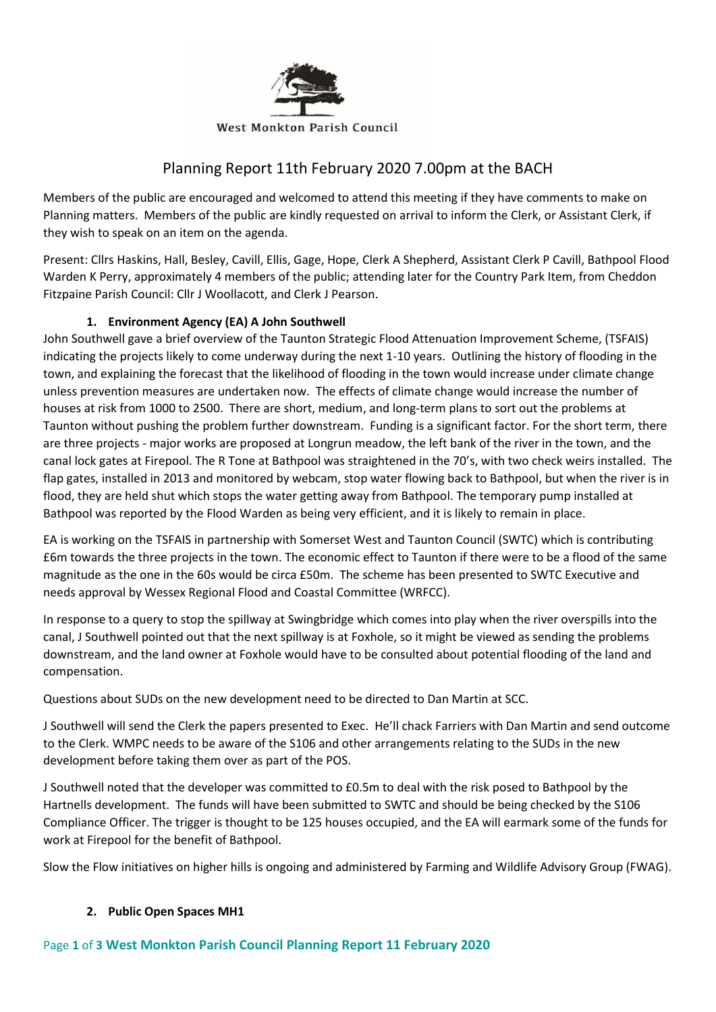

# Planning Report 11th February 2020 7.00pm at the BACH

Members of the public are encouraged and welcomed to attend this meeting if they have comments to make on Planning matters. Members of the public are kindly requested on arrival to inform the Clerk, or Assistant Clerk, if they wish to speak on an item on the agenda.

Present: Cllrs Haskins, Hall, Besley, Cavill, Ellis, Gage, Hope, Clerk A Shepherd, Assistant Clerk P Cavill, Bathpool Flood Warden K Perry, approximately 4 members of the public; attending later for the Country Park Item, from Cheddon Fitzpaine Parish Council: Cllr J Woollacott, and Clerk J Pearson.

# **1. Environment Agency (EA) A John Southwell**

John Southwell gave a brief overview of the Taunton Strategic Flood Attenuation Improvement Scheme, (TSFAIS) indicating the projects likely to come underway during the next 1-10 years. Outlining the history of flooding in the town, and explaining the forecast that the likelihood of flooding in the town would increase under climate change unless prevention measures are undertaken now. The effects of climate change would increase the number of houses at risk from 1000 to 2500. There are short, medium, and long-term plans to sort out the problems at Taunton without pushing the problem further downstream. Funding is a significant factor. For the short term, there are three projects - major works are proposed at Longrun meadow, the left bank of the river in the town, and the canal lock gates at Firepool. The R Tone at Bathpool was straightened in the 70's, with two check weirs installed. The flap gates, installed in 2013 and monitored by webcam, stop water flowing back to Bathpool, but when the river is in flood, they are held shut which stops the water getting away from Bathpool. The temporary pump installed at Bathpool was reported by the Flood Warden as being very efficient, and it is likely to remain in place.

EA is working on the TSFAIS in partnership with Somerset West and Taunton Council (SWTC) which is contributing £6m towards the three projects in the town. The economic effect to Taunton if there were to be a flood of the same magnitude as the one in the 60s would be circa £50m. The scheme has been presented to SWTC Executive and needs approval by Wessex Regional Flood and Coastal Committee (WRFCC).

In response to a query to stop the spillway at Swingbridge which comes into play when the river overspills into the canal, J Southwell pointed out that the next spillway is at Foxhole, so it might be viewed as sending the problems downstream, and the land owner at Foxhole would have to be consulted about potential flooding of the land and compensation.

Questions about SUDs on the new development need to be directed to Dan Martin at SCC.

J Southwell will send the Clerk the papers presented to Exec. He'll chack Farriers with Dan Martin and send outcome to the Clerk. WMPC needs to be aware of the S106 and other arrangements relating to the SUDs in the new development before taking them over as part of the POS.

J Southwell noted that the developer was committed to £0.5m to deal with the risk posed to Bathpool by the Hartnells development. The funds will have been submitted to SWTC and should be being checked by the S106 Compliance Officer. The trigger is thought to be 125 houses occupied, and the EA will earmark some of the funds for work at Firepool for the benefit of Bathpool.

Slow the Flow initiatives on higher hills is ongoing and administered by Farming and Wildlife Advisory Group (FWAG).

## **2. Public Open Spaces MH1**

# Page **1** of **3 West Monkton Parish Council Planning Report 11 February 2020**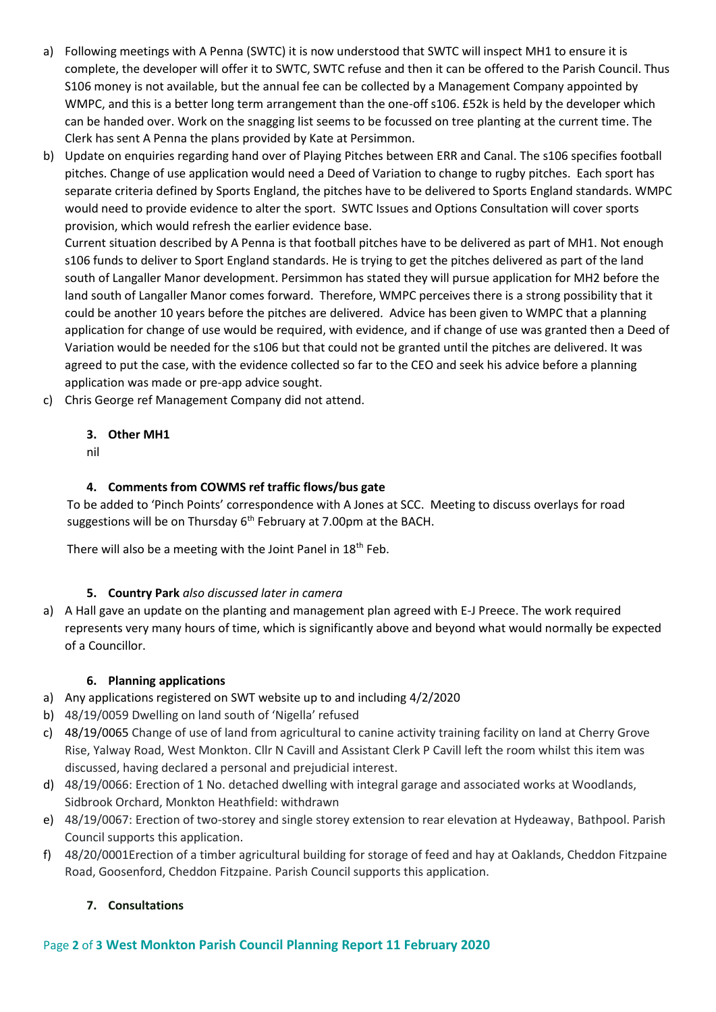- a) Following meetings with A Penna (SWTC) it is now understood that SWTC will inspect MH1 to ensure it is complete, the developer will offer it to SWTC, SWTC refuse and then it can be offered to the Parish Council. Thus S106 money is not available, but the annual fee can be collected by a Management Company appointed by WMPC, and this is a better long term arrangement than the one-off s106. £52k is held by the developer which can be handed over. Work on the snagging list seems to be focussed on tree planting at the current time. The Clerk has sent A Penna the plans provided by Kate at Persimmon.
- b) Update on enquiries regarding hand over of Playing Pitches between ERR and Canal. The s106 specifies football pitches. Change of use application would need a Deed of Variation to change to rugby pitches. Each sport has separate criteria defined by Sports England, the pitches have to be delivered to Sports England standards. WMPC would need to provide evidence to alter the sport. SWTC Issues and Options Consultation will cover sports provision, which would refresh the earlier evidence base.

Current situation described by A Penna is that football pitches have to be delivered as part of MH1. Not enough s106 funds to deliver to Sport England standards. He is trying to get the pitches delivered as part of the land south of Langaller Manor development. Persimmon has stated they will pursue application for MH2 before the land south of Langaller Manor comes forward. Therefore, WMPC perceives there is a strong possibility that it could be another 10 years before the pitches are delivered. Advice has been given to WMPC that a planning application for change of use would be required, with evidence, and if change of use was granted then a Deed of Variation would be needed for the s106 but that could not be granted until the pitches are delivered. It was agreed to put the case, with the evidence collected so far to the CEO and seek his advice before a planning application was made or pre-app advice sought.

c) Chris George ref Management Company did not attend.

## **3. Other MH1**

nil

## **4. Comments from COWMS ref traffic flows/bus gate**

To be added to 'Pinch Points' correspondence with A Jones at SCC. Meeting to discuss overlays for road suggestions will be on Thursday  $6<sup>th</sup>$  February at 7.00pm at the BACH.

There will also be a meeting with the Joint Panel in  $18<sup>th</sup>$  Feb.

## **5. Country Park** *also discussed later in camera*

a) A Hall gave an update on the planting and management plan agreed with E-J Preece. The work required represents very many hours of time, which is significantly above and beyond what would normally be expected of a Councillor.

## **6. Planning applications**

- a) Any applications registered on SWT website up to and including 4/2/2020
- b) 48/19/0059 Dwelling on land south of 'Nigella' refused
- c) 48/19/0065 Change of use of land from agricultural to canine activity training facility on land at Cherry Grove Rise, Yalway Road, West Monkton. Cllr N Cavill and Assistant Clerk P Cavill left the room whilst this item was discussed, having declared a personal and prejudicial interest.
- d) 48/19/0066: Erection of 1 No. detached dwelling with integral garage and associated works at Woodlands, Sidbrook Orchard, Monkton Heathfield: withdrawn
- e) 48/19/0067: Erection of two-storey and single storey extension to rear elevation at Hydeaway, Bathpool. Parish Council supports this application.
- f) 48/20/0001Erection of a timber agricultural building for storage of feed and hay at Oaklands, Cheddon Fitzpaine Road, Goosenford, Cheddon Fitzpaine. Parish Council supports this application.

# **7. Consultations**

## Page **2** of **3 West Monkton Parish Council Planning Report 11 February 2020**